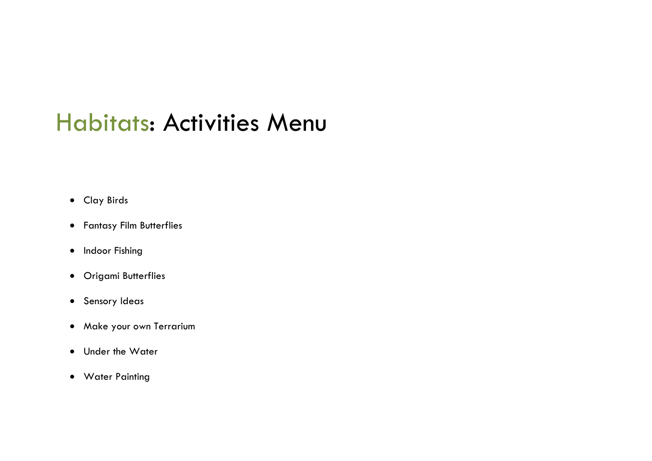## Habitats: Activities Menu

- Clay Birds
- Fantasy Film Butterflies
- · Indoor Fishing
- **•** Origami Butterflies
- **•** Sensory Ideas
- Make your own Terrarium
- Under the Water
- Water Painting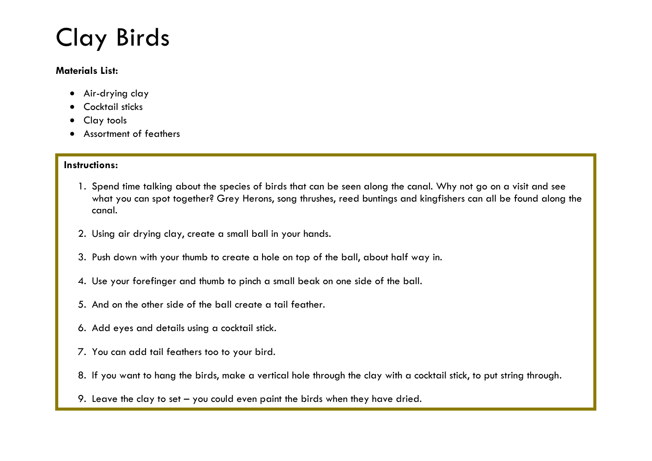# Clay Birds

### **Materials List:**

- Air-drying clay
- Cocktail sticks
- Clay tools
- Assortment of feathers

## **Instructions:**

- 1. Spend time talking about the species of birds that can be seen along the canal. Why not go on a visit and see what you can spot together? Grey Herons, song thrushes, reed buntings and kingfishers can all be found along the canal.
- 2. Using air drying clay, create a small ball in your hands.
- 3. Push down with your thumb to create a hole on top of the ball, about half way in.
- 4. Use your forefinger and thumb to pinch a small beak on one side of the ball.
- 5. And on the other side of the ball create a tail feather.
- 6. Add eyes and details using a cocktail stick.
- 7. You can add tail feathers too to your bird.
- 8. If you want to hang the birds, make a vertical hole through the clay with a cocktail stick, to put string through.
- 9. Leave the clay to set you could even paint the birds when they have dried.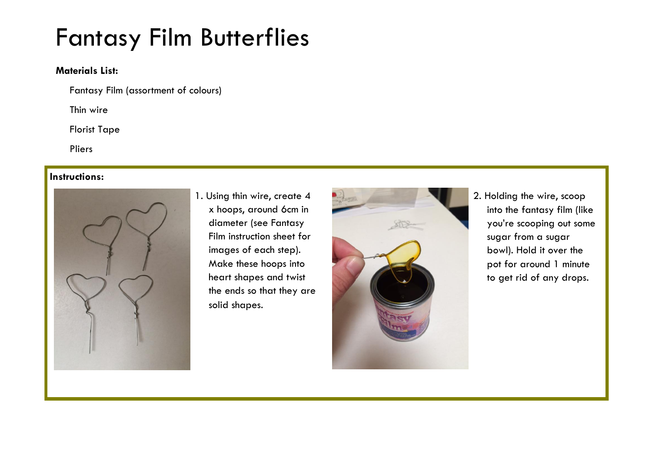## Fantasy Film Butterflies

### **Materials List:**

Fantasy Film (assortment of colours)

Thin wire

Florist Tape

Pliers

## **Instructions:**



1. Using thin wire, create 4 x hoops, around 6cm in diameter (see Fantasy Film instruction sheet for images of each step). Make these hoops into heart shapes and twist the ends so that they are solid shapes.



2. Holding the wire, scoop into the fantasy film (like you're scooping out some sugar from a sugar bowl). Hold it over the pot for around 1 minute to get rid of any drops.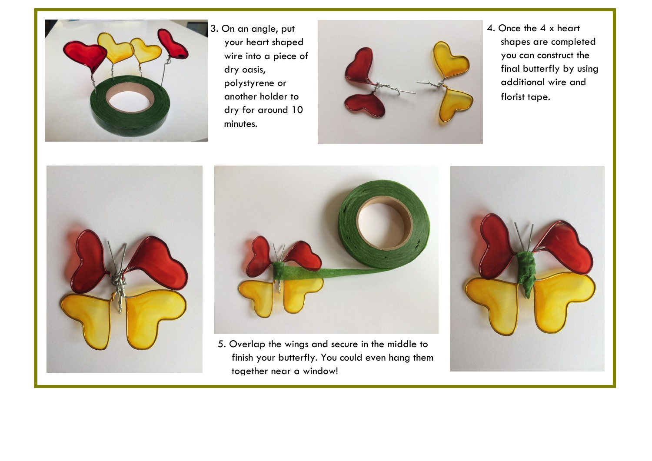

3. On an angle, put your heart shaped wire into a piece of dry oasis, polystyrene or another holder to dry for around 10 minutes.



4. Once the 4 x heart shapes are completed you can construct the final butterfly by using additional wire and florist tape.





5. Overlap the wings and secure in the middle to finish your butterfly. You could even hang them together near a window!

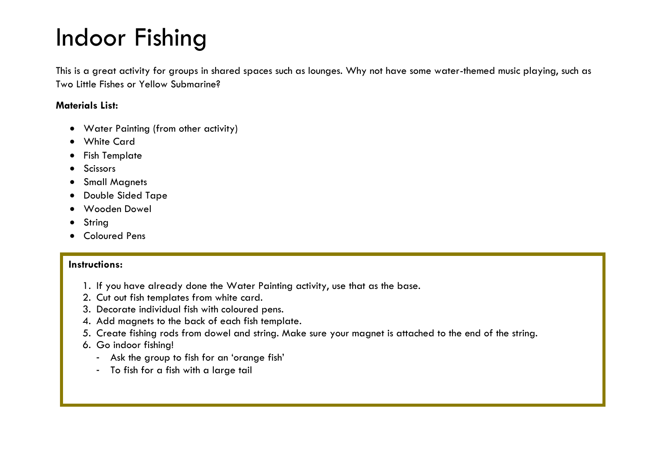# Indoor Fishing

This is a great activity for groups in shared spaces such as lounges. Why not have some water-themed music playing, such as Two Little Fishes or Yellow Submarine?

## **Materials List:**

- Water Painting (from other activity)
- White Card
- **•** Fish Template
- Scissors
- Small Magnets
- Double Sided Tape
- Wooden Dowel
- **•** String
- Coloured Pens

## **Instructions:**

- 1. If you have already done the Water Painting activity, use that as the base.
- 2. Cut out fish templates from white card.
- 3. Decorate individual fish with coloured pens.
- 4. Add magnets to the back of each fish template.
- 5. Create fishing rods from dowel and string. Make sure your magnet is attached to the end of the string.
- 6. Go indoor fishing!
	- Ask the group to fish for an 'orange fish'
	- To fish for a fish with a large tail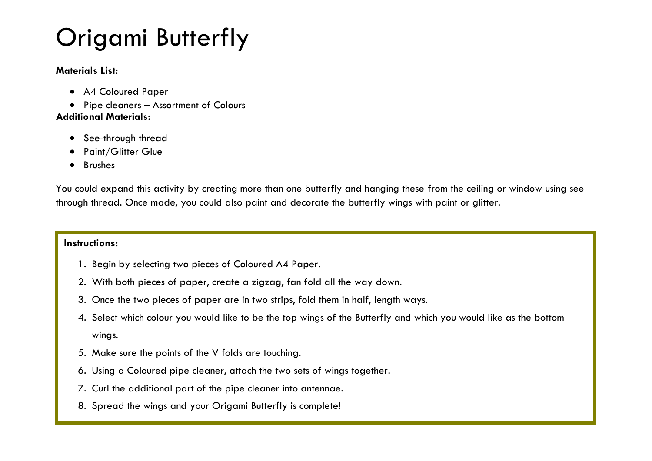# Origami Butterfly

### **Materials List:**

- A4 Coloured Paper
- Pipe cleaners Assortment of Colours **Additional Materials:**
	- See-through thread
	- Paint/Glitter Glue
	- Brushes

You could expand this activity by creating more than one butterfly and hanging these from the ceiling or window using see through thread. Once made, you could also paint and decorate the butterfly wings with paint or glitter.

## **Instructions:**

- 1. Begin by selecting two pieces of Coloured A4 Paper.
- 2. With both pieces of paper, create a zigzag, fan fold all the way down.
- 3. Once the two pieces of paper are in two strips, fold them in half, length ways.
- 4. Select which colour you would like to be the top wings of the Butterfly and which you would like as the bottom wings.
- 5. Make sure the points of the V folds are touching.
- 6. Using a Coloured pipe cleaner, attach the two sets of wings together.
- 7. Curl the additional part of the pipe cleaner into antennae.
- 8. Spread the wings and your Origami Butterfly is complete!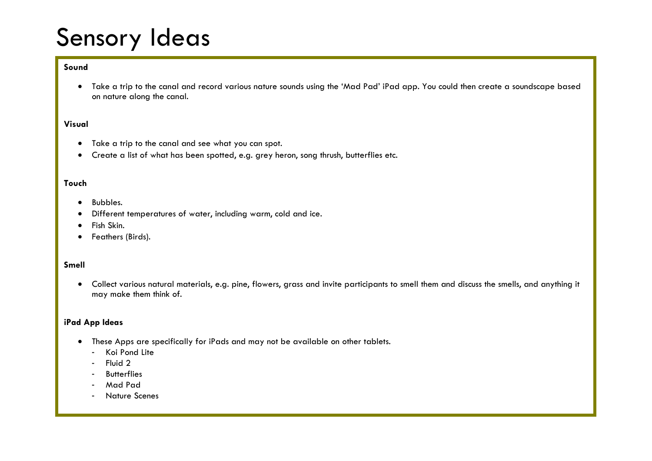# Sensory Ideas

### **Sound**

 Take a trip to the canal and record various nature sounds using the 'Mad Pad' iPad app. You could then create a soundscape based on nature along the canal.

#### **Visual**

- Take a trip to the canal and see what you can spot.
- Create a list of what has been spotted, e.g. grey heron, song thrush, butterflies etc.

#### **Touch**

- Bubbles.
- Different temperatures of water, including warm, cold and ice.
- Fish Skin.
- Feathers (Birds).

#### **Smell**

 Collect various natural materials, e.g. pine, flowers, grass and invite participants to smell them and discuss the smells, and anything it may make them think of.

#### **iPad App Ideas**

- These Apps are specifically for iPads and may not be available on other tablets.
	- Koi Pond Lite
	- Fluid 2
	- **Butterflies**
	- Mad Pad
	- Nature Scenes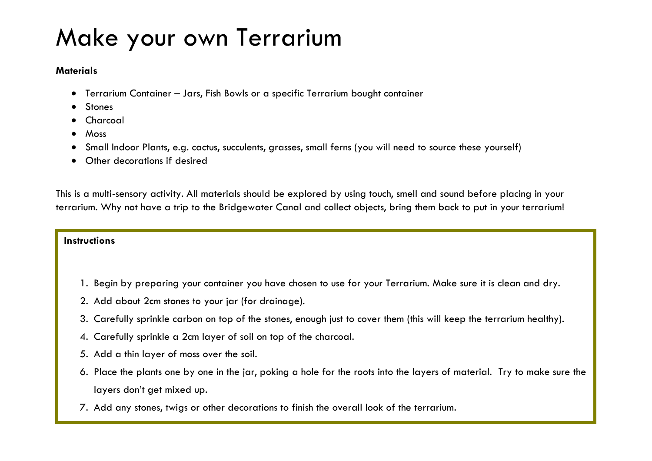# Make your own Terrarium

## **Materials**

- Terrarium Container Jars, Fish Bowls or a specific Terrarium bought container
- Stones
- Charcoal
- Moss
- Small Indoor Plants, e.g. cactus, succulents, grasses, small ferns (you will need to source these yourself)
- Other decorations if desired

This is a multi-sensory activity. All materials should be explored by using touch, smell and sound before placing in your terrarium. Why not have a trip to the Bridgewater Canal and collect objects, bring them back to put in your terrarium!

## **Instructions**

- 1. Begin by preparing your container you have chosen to use for your Terrarium. Make sure it is clean and dry.
- 2. Add about 2cm stones to your jar (for drainage).
- 3. Carefully sprinkle carbon on top of the stones, enough just to cover them (this will keep the terrarium healthy).
- 4. Carefully sprinkle a 2cm layer of soil on top of the charcoal.
- 5. Add a thin layer of moss over the soil.
- 6. Place the plants one by one in the jar, poking a hole for the roots into the layers of material. Try to make sure the layers don't get mixed up.
- 7. Add any stones, twigs or other decorations to finish the overall look of the terrarium.

 $\mathbb{R}^n$  . Will down the glass, secure the glass, secure the lid (if  $\mathbb{R}^n$  ), and  $\mathbb{R}^n$  is complete.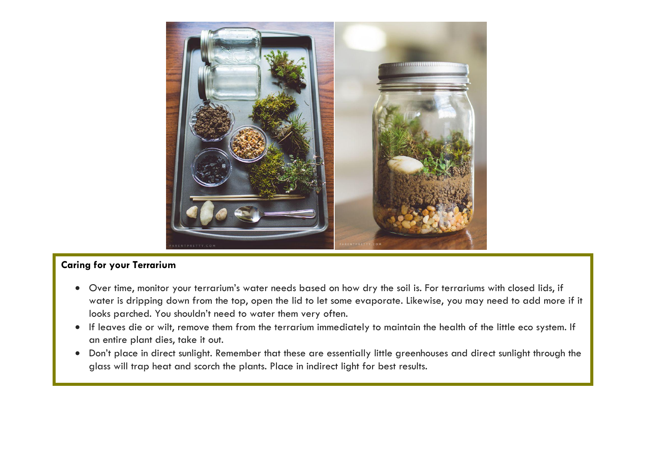

## **Caring for your Terrarium**

- Over time, monitor your terrarium's water needs based on how dry the soil is. For terrariums with closed lids, if water is dripping down from the top, open the lid to let some evaporate. Likewise, you may need to add more if it looks parched. You shouldn't need to water them very often.
- If leaves die or wilt, remove them from the terrarium immediately to maintain the health of the little eco system. If an entire plant dies, take it out.
- Don't place in direct sunlight. Remember that these are essentially little greenhouses and direct sunlight through the glass will trap heat and scorch the plants. Place in indirect light for best results.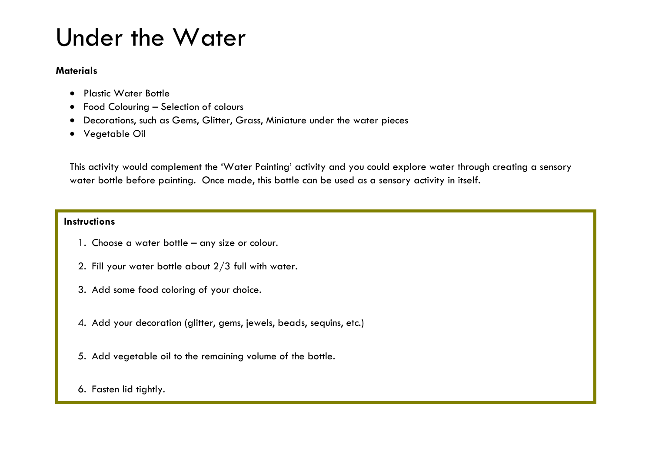## Under the Water

## **Materials**

- **•** Plastic Water Bottle
- Food Colouring Selection of colours
- Decorations, such as Gems, Glitter, Grass, Miniature under the water pieces
- Vegetable Oil

This activity would complement the 'Water Painting' activity and you could explore water through creating a sensory water bottle before painting. Once made, this bottle can be used as a sensory activity in itself.

## **Instructions**

- 1. Choose a water bottle any size or colour.
- 2. Fill your water bottle about 2/3 full with water.
- 3. Add some food coloring of your choice.
- 4. Add your decoration (glitter, gems, jewels, beads, sequins, etc.)
- 5. Add vegetable oil to the remaining volume of the bottle.
- 6. Fasten lid tightly.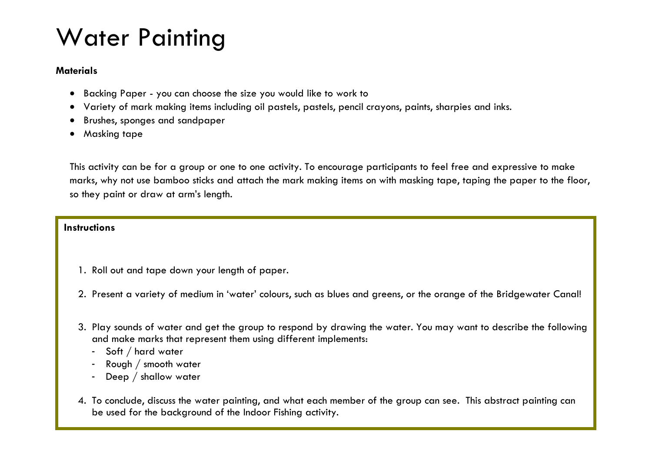## Water Painting

### **Materials**

- Backing Paper you can choose the size you would like to work to
- Variety of mark making items including oil pastels, pastels, pencil crayons, paints, sharpies and inks.
- Brushes, sponges and sandpaper
- Masking tape

This activity can be for a group or one to one activity. To encourage participants to feel free and expressive to make marks, why not use bamboo sticks and attach the mark making items on with masking tape, taping the paper to the floor, so they paint or draw at arm's length.

## **Instructions**

- 1. Roll out and tape down your length of paper.
- 2. Present a variety of medium in 'water' colours, such as blues and greens, or the orange of the Bridgewater Canal!
- 3. Play sounds of water and get the group to respond by drawing the water. You may want to describe the following and make marks that represent them using different implements:
	- Soft / hard water
	- Rough / smooth water
	- Deep / shallow water
- 4. To conclude, discuss the water painting, and what each member of the group can see. This abstract painting can be used for the background of the Indoor Fishing activity.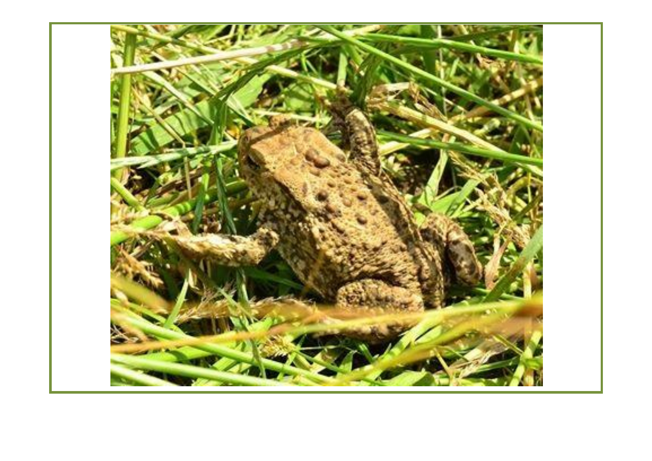